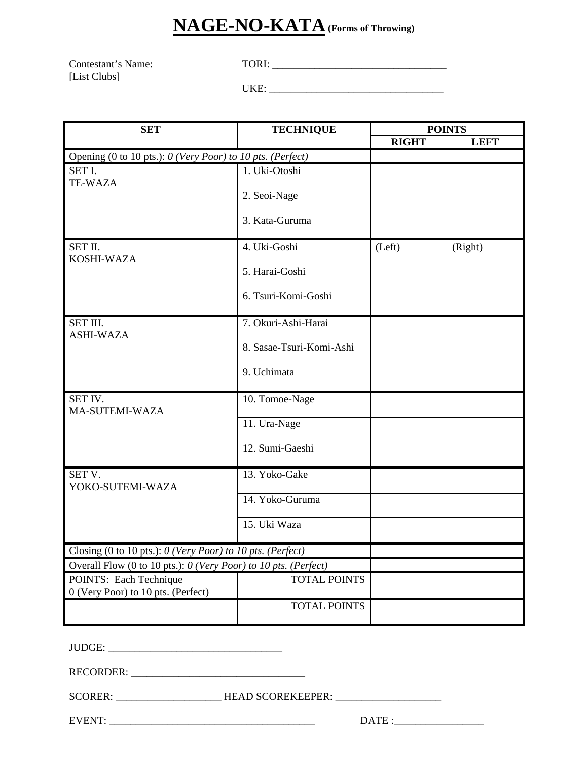## **NAGE-NO-KATA (Forms of Throwing)**

Contestant's Name: TORI: \_\_\_\_\_\_\_\_\_\_\_\_\_\_\_\_\_\_\_\_\_\_\_\_\_\_\_\_\_\_\_\_\_ [List Clubs]

UKE: \_\_\_\_\_\_\_\_\_\_\_\_\_\_\_\_\_\_\_\_\_\_\_\_\_\_\_\_\_\_\_\_\_

| <b>SET</b>                                                      | <b>TECHNIQUE</b>         | <b>POINTS</b> |             |
|-----------------------------------------------------------------|--------------------------|---------------|-------------|
|                                                                 |                          | <b>RIGHT</b>  | <b>LEFT</b> |
| Opening (0 to 10 pts.): 0 (Very Poor) to 10 pts. (Perfect)      |                          |               |             |
| SET I.<br><b>TE-WAZA</b>                                        | 1. Uki-Otoshi            |               |             |
|                                                                 | 2. Seoi-Nage             |               |             |
|                                                                 | 3. Kata-Guruma           |               |             |
| SET II.<br>KOSHI-WAZA                                           | 4. Uki-Goshi             | (Left)        | (Right)     |
|                                                                 | 5. Harai-Goshi           |               |             |
|                                                                 | 6. Tsuri-Komi-Goshi      |               |             |
| SET III.<br><b>ASHI-WAZA</b>                                    | 7. Okuri-Ashi-Harai      |               |             |
|                                                                 | 8. Sasae-Tsuri-Komi-Ashi |               |             |
|                                                                 | 9. Uchimata              |               |             |
| SET IV.<br>MA-SUTEMI-WAZA                                       | 10. Tomoe-Nage           |               |             |
|                                                                 | 11. Ura-Nage             |               |             |
|                                                                 | 12. Sumi-Gaeshi          |               |             |
| SET V.<br>YOKO-SUTEMI-WAZA                                      | 13. Yoko-Gake            |               |             |
|                                                                 | 14. Yoko-Guruma          |               |             |
|                                                                 | 15. Uki Waza             |               |             |
| Closing (0 to 10 pts.): O (Very Poor) to 10 pts. (Perfect)      |                          |               |             |
| Overall Flow (0 to 10 pts.): 0 (Very Poor) to 10 pts. (Perfect) |                          |               |             |
| POINTS: Each Technique<br>0 (Very Poor) to 10 pts. (Perfect)    | TOTAL POINTS             |               |             |
|                                                                 | <b>TOTAL POINTS</b>      |               |             |

JUDGE: \_\_\_\_\_\_\_\_\_\_\_\_\_\_\_\_\_\_\_\_\_\_\_\_\_\_\_\_\_\_\_\_\_

RECORDER:

SCORER: \_\_\_\_\_\_\_\_\_\_\_\_\_\_\_\_\_\_\_\_\_\_\_\_\_\_\_HEAD SCOREKEEPER: \_\_\_\_\_\_\_\_\_\_\_\_\_\_\_\_\_\_\_\_\_\_\_\_\_\_\_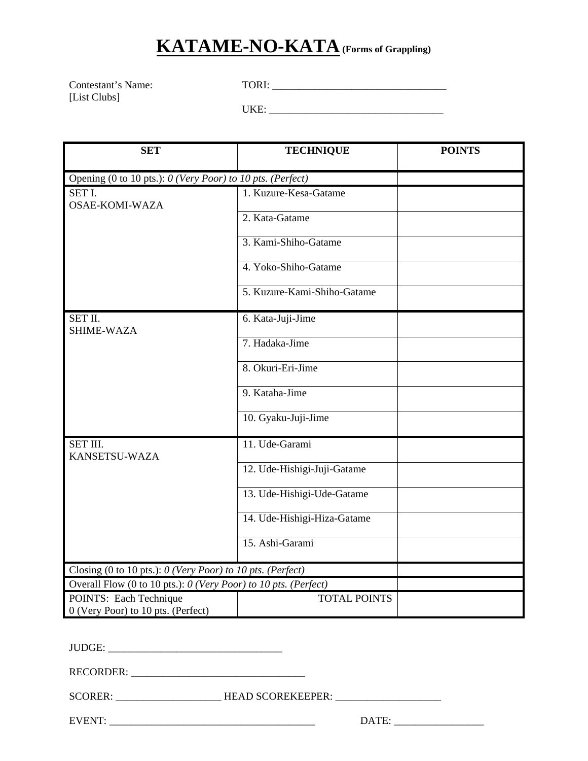## **KATAME-NO-KATA (Forms of Grappling)**

Contestant's Name: TORI: \_\_\_\_\_\_\_\_\_\_\_\_\_\_\_\_\_\_\_\_\_\_\_\_\_\_\_\_\_\_\_\_\_ [List Clubs]

UKE: \_\_\_\_\_\_\_\_\_\_\_\_\_\_\_\_\_\_\_\_\_\_\_\_\_\_\_\_\_\_\_\_\_

| <b>SET</b>                                                      | <b>TECHNIQUE</b>                                           | <b>POINTS</b> |  |  |  |
|-----------------------------------------------------------------|------------------------------------------------------------|---------------|--|--|--|
|                                                                 | Opening (0 to 10 pts.): 0 (Very Poor) to 10 pts. (Perfect) |               |  |  |  |
| SET I.<br><b>OSAE-KOMI-WAZA</b>                                 | 1. Kuzure-Kesa-Gatame                                      |               |  |  |  |
|                                                                 | 2. Kata-Gatame                                             |               |  |  |  |
|                                                                 | 3. Kami-Shiho-Gatame                                       |               |  |  |  |
|                                                                 | 4. Yoko-Shiho-Gatame                                       |               |  |  |  |
|                                                                 | 5. Kuzure-Kami-Shiho-Gatame                                |               |  |  |  |
| SET II.<br><b>SHIME-WAZA</b>                                    | 6. Kata-Juji-Jime                                          |               |  |  |  |
|                                                                 | 7. Hadaka-Jime                                             |               |  |  |  |
|                                                                 | 8. Okuri-Eri-Jime                                          |               |  |  |  |
|                                                                 | 9. Kataha-Jime                                             |               |  |  |  |
|                                                                 | 10. Gyaku-Juji-Jime                                        |               |  |  |  |
| SET III.<br>KANSETSU-WAZA                                       | 11. Ude-Garami                                             |               |  |  |  |
|                                                                 | 12. Ude-Hishigi-Juji-Gatame                                |               |  |  |  |
|                                                                 | 13. Ude-Hishigi-Ude-Gatame                                 |               |  |  |  |
|                                                                 | 14. Ude-Hishigi-Hiza-Gatame                                |               |  |  |  |
|                                                                 | 15. Ashi-Garami                                            |               |  |  |  |
| Closing (0 to 10 pts.): 0 (Very Poor) to 10 pts. (Perfect)      |                                                            |               |  |  |  |
| Overall Flow (0 to 10 pts.): 0 (Very Poor) to 10 pts. (Perfect) |                                                            |               |  |  |  |
| POINTS: Each Technique<br>0 (Very Poor) to 10 pts. (Perfect)    | <b>TOTAL POINTS</b>                                        |               |  |  |  |

JUDGE: \_\_\_\_\_\_\_\_\_\_\_\_\_\_\_\_\_\_\_\_\_\_\_\_\_\_\_\_\_\_\_\_\_

RECORDER:

SCORER: \_\_\_\_\_\_\_\_\_\_\_\_\_\_\_\_\_\_\_\_\_\_\_\_\_\_\_HEAD SCOREKEEPER: \_\_\_\_\_\_\_\_\_\_\_\_\_\_\_\_\_\_\_\_\_\_\_\_\_\_\_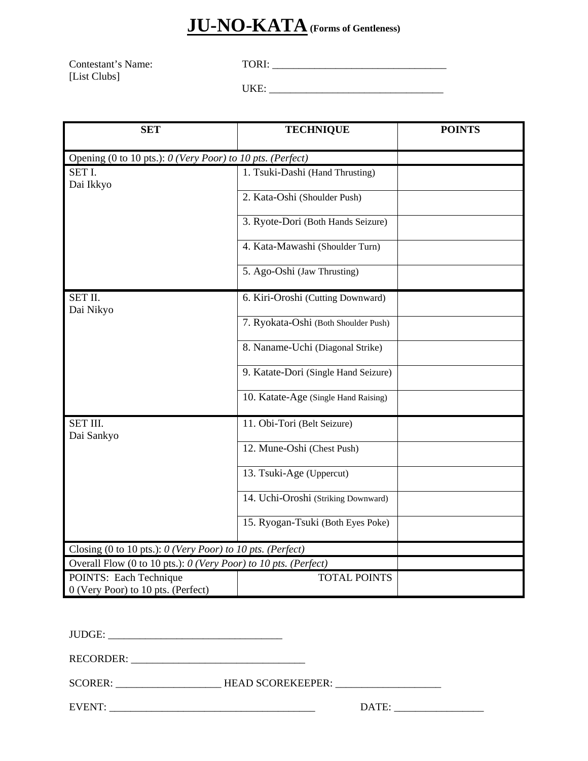## **JU-NO-KATA (Forms of Gentleness)**

Contestant's Name: TORI: \_\_\_\_\_\_\_\_\_\_\_\_\_\_\_\_\_\_\_\_\_\_\_\_\_\_\_\_\_\_\_\_\_ [List Clubs]

UKE: \_\_\_\_\_\_\_\_\_\_\_\_\_\_\_\_\_\_\_\_\_\_\_\_\_\_\_\_\_\_\_\_\_

| <b>SET</b>                                                      | <b>TECHNIQUE</b>                     | <b>POINTS</b> |
|-----------------------------------------------------------------|--------------------------------------|---------------|
| Opening (0 to 10 pts.): 0 (Very Poor) to 10 pts. (Perfect)      |                                      |               |
| SET I.<br>Dai Ikkyo                                             | 1. Tsuki-Dashi (Hand Thrusting)      |               |
|                                                                 | 2. Kata-Oshi (Shoulder Push)         |               |
|                                                                 | 3. Ryote-Dori (Both Hands Seizure)   |               |
|                                                                 | 4. Kata-Mawashi (Shoulder Turn)      |               |
|                                                                 | 5. Ago-Oshi (Jaw Thrusting)          |               |
| SET II.<br>Dai Nikyo                                            | 6. Kiri-Oroshi (Cutting Downward)    |               |
|                                                                 | 7. Ryokata-Oshi (Both Shoulder Push) |               |
|                                                                 | 8. Naname-Uchi (Diagonal Strike)     |               |
|                                                                 | 9. Katate-Dori (Single Hand Seizure) |               |
|                                                                 | 10. Katate-Age (Single Hand Raising) |               |
| SET III.<br>Dai Sankyo                                          | 11. Obi-Tori (Belt Seizure)          |               |
|                                                                 | 12. Mune-Oshi (Chest Push)           |               |
|                                                                 | 13. Tsuki-Age (Uppercut)             |               |
|                                                                 | 14. Uchi-Oroshi (Striking Downward)  |               |
|                                                                 | 15. Ryogan-Tsuki (Both Eyes Poke)    |               |
| Closing (0 to 10 pts.): $0$ (Very Poor) to 10 pts. (Perfect)    |                                      |               |
| Overall Flow (0 to 10 pts.): 0 (Very Poor) to 10 pts. (Perfect) |                                      |               |
| POINTS: Each Technique<br>0 (Very Poor) to 10 pts. (Perfect)    | <b>TOTAL POINTS</b>                  |               |

JUDGE: \_\_\_\_\_\_\_\_\_\_\_\_\_\_\_\_\_\_\_\_\_\_\_\_\_\_\_\_\_\_\_\_\_

RECORDER: \_\_\_\_\_\_\_\_\_\_\_\_\_\_\_\_\_\_\_\_\_\_\_\_\_\_\_\_\_\_\_\_\_

SCORER: \_\_\_\_\_\_\_\_\_\_\_\_\_\_\_\_\_\_\_\_\_\_\_\_\_\_\_\_HEAD SCOREKEEPER: \_\_\_\_\_\_\_\_\_\_\_\_\_\_\_\_\_\_\_\_\_\_\_\_\_\_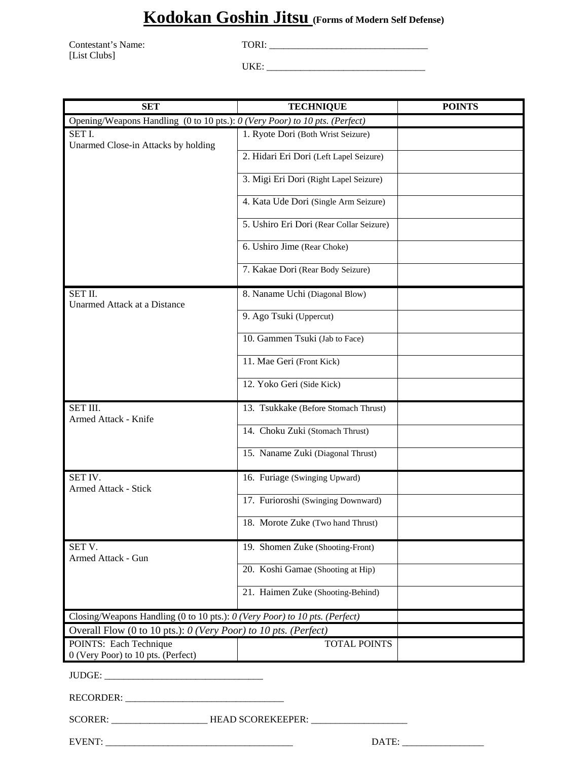#### **Kodokan Goshin Jitsu (Forms of Modern Self Defense)**

Contestant's Name: TORI: TORI: TORI: TORI: TORI: TORI: TORI: TORI: TORI: TORI: TORI: TORI: TORI: TORI: TORI: TORI: TORI: TORI: TORI: TORI: TORI: TORI: TORI: TORI: TORI: TORI: TORI: TORI: TORI: TORI: TORI: TORI: TORI: TORI: [List Clubs]

UKE: \_\_\_\_\_\_\_\_\_\_\_\_\_\_\_\_\_\_\_\_\_\_\_\_\_\_\_\_\_\_\_\_\_

| <b>SET</b>                                                                  | <b>TECHNIQUE</b>                         | <b>POINTS</b> |
|-----------------------------------------------------------------------------|------------------------------------------|---------------|
| Opening/Weapons Handling (0 to 10 pts.): 0 (Very Poor) to 10 pts. (Perfect) |                                          |               |
| SET I.                                                                      | 1. Ryote Dori (Both Wrist Seizure)       |               |
| Unarmed Close-in Attacks by holding                                         | 2. Hidari Eri Dori (Left Lapel Seizure)  |               |
|                                                                             | 3. Migi Eri Dori (Right Lapel Seizure)   |               |
|                                                                             |                                          |               |
|                                                                             | 4. Kata Ude Dori (Single Arm Seizure)    |               |
|                                                                             | 5. Ushiro Eri Dori (Rear Collar Seizure) |               |
|                                                                             | 6. Ushiro Jime (Rear Choke)              |               |
|                                                                             | 7. Kakae Dori (Rear Body Seizure)        |               |
| SET II.<br>Unarmed Attack at a Distance                                     | 8. Naname Uchi (Diagonal Blow)           |               |
|                                                                             | 9. Ago Tsuki (Uppercut)                  |               |
|                                                                             | 10. Gammen Tsuki (Jab to Face)           |               |
|                                                                             | 11. Mae Geri (Front Kick)                |               |
|                                                                             | 12. Yoko Geri (Side Kick)                |               |
| SET III.<br>Armed Attack - Knife                                            | 13. Tsukkake (Before Stomach Thrust)     |               |
|                                                                             | 14. Choku Zuki (Stomach Thrust)          |               |
|                                                                             | 15. Naname Zuki (Diagonal Thrust)        |               |
| SET IV.<br><b>Armed Attack - Stick</b>                                      | 16. Furiage (Swinging Upward)            |               |
|                                                                             | 17. Furioroshi (Swinging Downward)       |               |
|                                                                             | 18. Morote Zuke (Two hand Thrust)        |               |
| SET V.<br>Armed Attack - Gun                                                | 19. Shomen Zuke (Shooting-Front)         |               |
|                                                                             | 20. Koshi Gamae (Shooting at Hip)        |               |
|                                                                             | 21. Haimen Zuke (Shooting-Behind)        |               |
| Closing/Weapons Handling (0 to 10 pts.): 0 (Very Poor) to 10 pts. (Perfect) |                                          |               |
| Overall Flow (0 to 10 pts.): 0 (Very Poor) to 10 pts. (Perfect)             |                                          |               |
| <b>POINTS: Each Technique</b><br>0 (Very Poor) to 10 pts. (Perfect)         | TOTAL POINTS                             |               |
|                                                                             |                                          |               |
|                                                                             |                                          |               |

SCORER: \_\_\_\_\_\_\_\_\_\_\_\_\_\_\_\_\_\_\_\_\_\_\_\_\_\_\_HEAD SCOREKEEPER: \_\_\_\_\_\_\_\_\_\_\_\_\_\_\_\_\_\_\_\_\_\_\_\_\_\_\_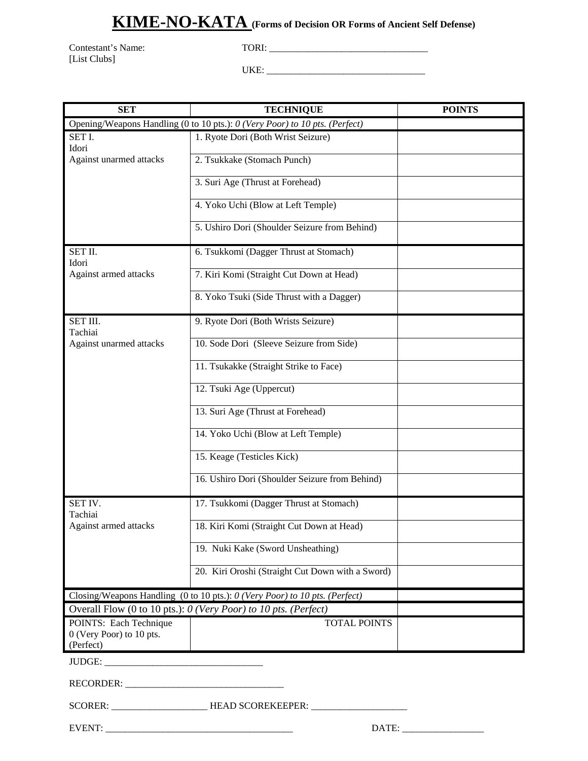#### **KIME-NO-KATA (Forms of Decision OR Forms of Ancient Self Defense)**

[List Clubs]

Contestant's Name: TORI: \_\_\_\_\_\_\_\_\_\_\_\_\_\_\_\_\_\_\_\_\_\_\_\_\_\_\_\_\_\_\_\_\_

UKE: \_\_\_\_\_\_\_\_\_\_\_\_\_\_\_\_\_\_\_\_\_\_\_\_\_\_\_\_\_\_\_\_\_

| <b>SET</b>                                                                  | <b>TECHNIQUE</b>                                                | <b>POINTS</b> |  |  |
|-----------------------------------------------------------------------------|-----------------------------------------------------------------|---------------|--|--|
| Opening/Weapons Handling (0 to 10 pts.): 0 (Very Poor) to 10 pts. (Perfect) |                                                                 |               |  |  |
| SET I.<br>Idori                                                             | 1. Ryote Dori (Both Wrist Seizure)                              |               |  |  |
| Against unarmed attacks                                                     | 2. Tsukkake (Stomach Punch)                                     |               |  |  |
|                                                                             | 3. Suri Age (Thrust at Forehead)                                |               |  |  |
|                                                                             | 4. Yoko Uchi (Blow at Left Temple)                              |               |  |  |
|                                                                             | 5. Ushiro Dori (Shoulder Seizure from Behind)                   |               |  |  |
| SET II.<br>Idori                                                            | 6. Tsukkomi (Dagger Thrust at Stomach)                          |               |  |  |
| Against armed attacks                                                       | 7. Kiri Komi (Straight Cut Down at Head)                        |               |  |  |
|                                                                             | 8. Yoko Tsuki (Side Thrust with a Dagger)                       |               |  |  |
| SET III.<br>Tachiai                                                         | 9. Ryote Dori (Both Wrists Seizure)                             |               |  |  |
| Against unarmed attacks                                                     | 10. Sode Dori (Sleeve Seizure from Side)                        |               |  |  |
|                                                                             | 11. Tsukakke (Straight Strike to Face)                          |               |  |  |
|                                                                             | 12. Tsuki Age (Uppercut)                                        |               |  |  |
|                                                                             | 13. Suri Age (Thrust at Forehead)                               |               |  |  |
|                                                                             | 14. Yoko Uchi (Blow at Left Temple)                             |               |  |  |
|                                                                             | 15. Keage (Testicles Kick)                                      |               |  |  |
|                                                                             | 16. Ushiro Dori (Shoulder Seizure from Behind)                  |               |  |  |
| SET IV.<br>Tachiai                                                          | 17. Tsukkomi (Dagger Thrust at Stomach)                         |               |  |  |
| Against armed attacks                                                       | 18. Kiri Komi (Straight Cut Down at Head)                       |               |  |  |
|                                                                             | 19. Nuki Kake (Sword Unsheathing)                               |               |  |  |
|                                                                             | 20. Kiri Oroshi (Straight Cut Down with a Sword)                |               |  |  |
| Closing/Weapons Handling (0 to 10 pts.): 0 (Very Poor) to 10 pts. (Perfect) |                                                                 |               |  |  |
|                                                                             | Overall Flow (0 to 10 pts.): 0 (Very Poor) to 10 pts. (Perfect) |               |  |  |
| POINTS: Each Technique<br>0 (Very Poor) to 10 pts.<br>(Perfect)             | <b>TOTAL POINTS</b>                                             |               |  |  |
| JUDGE:                                                                      |                                                                 |               |  |  |

RECORDER: \_\_\_\_\_\_\_\_\_\_\_\_\_\_\_\_\_\_\_\_\_\_\_\_\_\_\_\_\_\_\_\_\_

SCORER: \_\_\_\_\_\_\_\_\_\_\_\_\_\_\_\_\_\_\_\_\_\_\_\_\_\_\_HEAD SCOREKEEPER: \_\_\_\_\_\_\_\_\_\_\_\_\_\_\_\_\_\_\_\_\_\_\_\_\_\_\_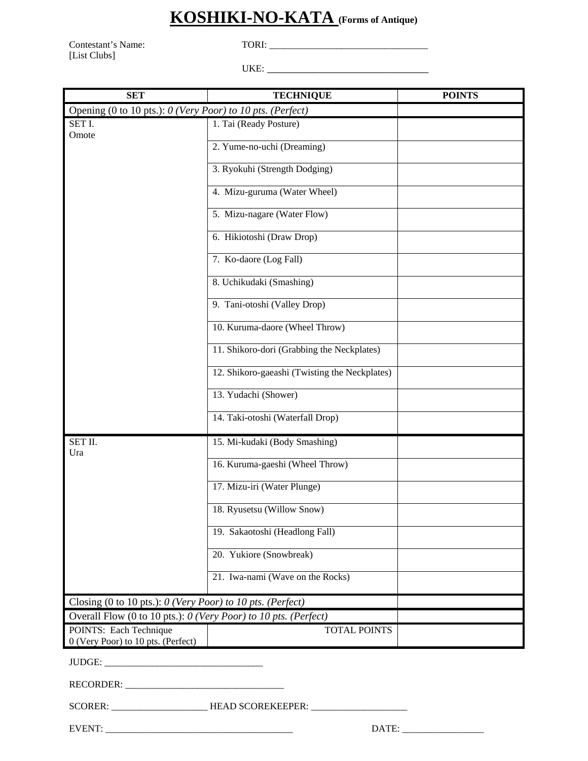#### **KOSHIKI-NO-KATA (Forms of Antique)**

Contestant's Name: TORI: \_\_\_\_\_\_\_\_\_\_\_\_\_\_\_\_\_\_\_\_\_\_\_\_\_\_\_\_\_\_\_\_\_ [List Clubs]

UKE: \_\_\_\_\_\_\_\_\_\_\_\_\_\_\_\_\_\_\_\_\_\_\_\_\_\_\_\_

| <b>SET</b>                                                      | <b>TECHNIQUE</b>                              | <b>POINTS</b> |  |  |
|-----------------------------------------------------------------|-----------------------------------------------|---------------|--|--|
| Opening (0 to 10 pts.): 0 (Very Poor) to 10 pts. (Perfect)      |                                               |               |  |  |
| SET I.<br>Omote                                                 | 1. Tai (Ready Posture)                        |               |  |  |
|                                                                 | 2. Yume-no-uchi (Dreaming)                    |               |  |  |
|                                                                 | 3. Ryokuhi (Strength Dodging)                 |               |  |  |
|                                                                 | 4. Mizu-guruma (Water Wheel)                  |               |  |  |
|                                                                 | 5. Mizu-nagare (Water Flow)                   |               |  |  |
|                                                                 | 6. Hikiotoshi (Draw Drop)                     |               |  |  |
|                                                                 | 7. Ko-daore (Log Fall)                        |               |  |  |
|                                                                 | 8. Uchikudaki (Smashing)                      |               |  |  |
|                                                                 | 9. Tani-otoshi (Valley Drop)                  |               |  |  |
|                                                                 | 10. Kuruma-daore (Wheel Throw)                |               |  |  |
|                                                                 | 11. Shikoro-dori (Grabbing the Neckplates)    |               |  |  |
|                                                                 | 12. Shikoro-gaeashi (Twisting the Neckplates) |               |  |  |
|                                                                 | 13. Yudachi (Shower)                          |               |  |  |
|                                                                 | 14. Taki-otoshi (Waterfall Drop)              |               |  |  |
| SET II.<br>Ura                                                  | 15. Mi-kudaki (Body Smashing)                 |               |  |  |
|                                                                 | 16. Kuruma-gaeshi (Wheel Throw)               |               |  |  |
|                                                                 | 17. Mizu-iri (Water Plunge)                   |               |  |  |
|                                                                 | 18. Ryusetsu (Willow Snow)                    |               |  |  |
|                                                                 | 19. Sakaotoshi (Headlong Fall)                |               |  |  |
|                                                                 | 20. Yukiore (Snowbreak)                       |               |  |  |
|                                                                 | 21. Iwa-nami (Wave on the Rocks)              |               |  |  |
| Closing (0 to 10 pts.): $0$ (Very Poor) to 10 pts. (Perfect)    |                                               |               |  |  |
| Overall Flow (0 to 10 pts.): 0 (Very Poor) to 10 pts. (Perfect) |                                               |               |  |  |
| POINTS: Each Technique<br>0 (Very Poor) to 10 pts. (Perfect)    | <b>TOTAL POINTS</b>                           |               |  |  |
|                                                                 |                                               |               |  |  |
| RECORDER:                                                       |                                               |               |  |  |
|                                                                 | SCORER: HEAD SCOREKEEPER:                     |               |  |  |
|                                                                 | DATE:                                         |               |  |  |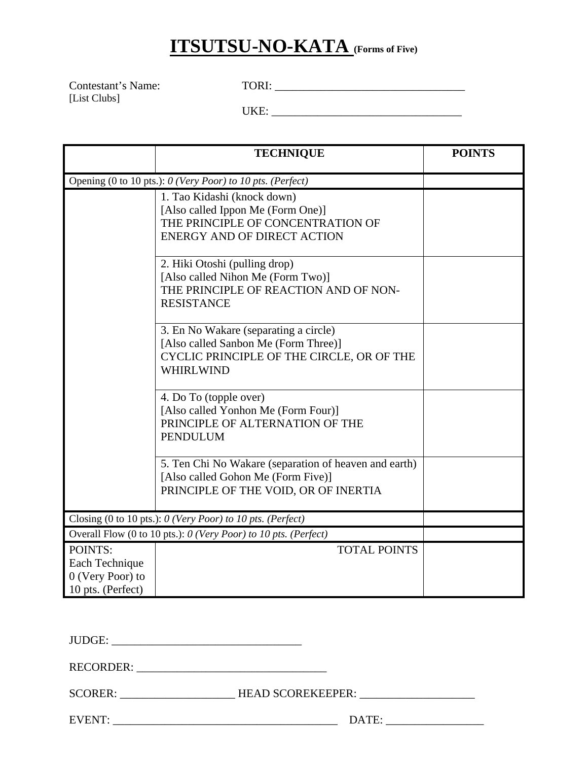## **ITSUTSU-NO-KATA (Forms of Five)**

Contestant's Name: TORI: \_\_\_\_\_\_\_\_\_\_\_\_\_\_\_\_\_\_\_\_\_\_\_\_\_\_\_\_\_\_\_\_\_ [List Clubs]

UKE: \_\_\_\_\_\_\_\_\_\_\_\_\_\_\_\_\_\_\_\_\_\_\_\_\_\_\_\_\_\_\_\_\_

|                                                                    | <b>TECHNIQUE</b>                                                                                                                               | <b>POINTS</b> |  |
|--------------------------------------------------------------------|------------------------------------------------------------------------------------------------------------------------------------------------|---------------|--|
|                                                                    | Opening (0 to 10 pts.): 0 (Very Poor) to 10 pts. (Perfect)                                                                                     |               |  |
|                                                                    | 1. Tao Kidashi (knock down)<br>[Also called Ippon Me (Form One)]<br>THE PRINCIPLE OF CONCENTRATION OF<br><b>ENERGY AND OF DIRECT ACTION</b>    |               |  |
|                                                                    | 2. Hiki Otoshi (pulling drop)<br>[Also called Nihon Me (Form Two)]<br>THE PRINCIPLE OF REACTION AND OF NON-<br><b>RESISTANCE</b>               |               |  |
|                                                                    | 3. En No Wakare (separating a circle)<br>[Also called Sanbon Me (Form Three)]<br>CYCLIC PRINCIPLE OF THE CIRCLE, OR OF THE<br><b>WHIRLWIND</b> |               |  |
|                                                                    | 4. Do To (topple over)<br>[Also called Yonhon Me (Form Four)]<br>PRINCIPLE OF ALTERNATION OF THE<br><b>PENDULUM</b>                            |               |  |
|                                                                    | 5. Ten Chi No Wakare (separation of heaven and earth)<br>[Also called Gohon Me (Form Five)]<br>PRINCIPLE OF THE VOID, OR OF INERTIA            |               |  |
| Closing (0 to 10 pts.): 0 (Very Poor) to 10 pts. (Perfect)         |                                                                                                                                                |               |  |
| Overall Flow (0 to 10 pts.): 0 (Very Poor) to 10 pts. (Perfect)    |                                                                                                                                                |               |  |
| POINTS:<br>Each Technique<br>0 (Very Poor) to<br>10 pts. (Perfect) | <b>TOTAL POINTS</b>                                                                                                                            |               |  |

JUDGE: \_\_\_\_\_\_\_\_\_\_\_\_\_\_\_\_\_\_\_\_\_\_\_\_\_\_\_\_\_\_\_\_\_

RECORDER: \_\_\_\_\_\_\_\_\_\_\_\_\_\_\_\_\_\_\_\_\_\_\_\_\_\_\_\_\_\_\_\_\_

SCORER: \_\_\_\_\_\_\_\_\_\_\_\_\_\_\_\_\_\_\_\_\_\_\_\_\_HEAD SCOREKEEPER: \_\_\_\_\_\_\_\_\_\_\_\_\_\_\_\_\_\_\_\_\_\_\_\_\_\_\_\_\_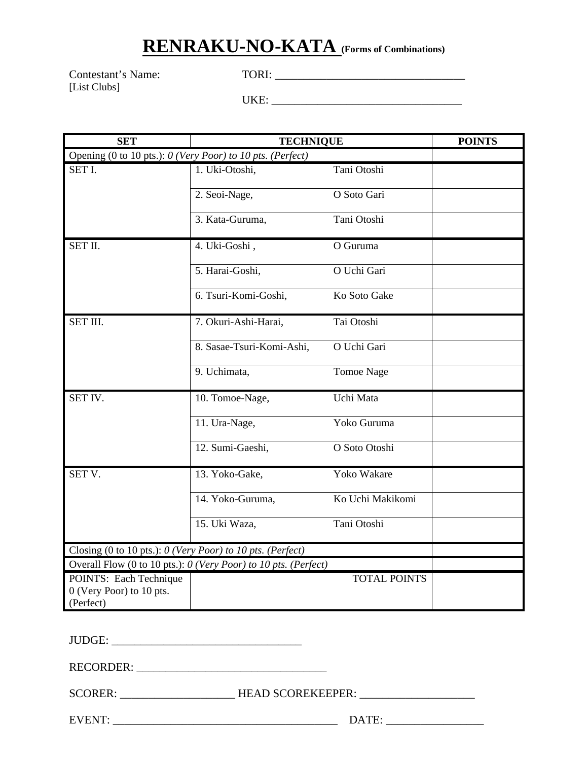#### **RENRAKU-NO-KATA (Forms of Combinations)**

Contestant's Name: TORI: \_\_\_\_\_\_\_\_\_\_\_\_\_\_\_\_\_\_\_\_\_\_\_\_\_\_\_\_\_\_\_\_\_ [List Clubs]

UKE: \_\_\_\_\_\_\_\_\_\_\_\_\_\_\_\_\_\_\_\_\_\_\_\_\_\_\_\_\_\_\_\_\_

| <b>SET</b>                                                      | <b>TECHNIQUE</b>                                                |                     | <b>POINTS</b> |
|-----------------------------------------------------------------|-----------------------------------------------------------------|---------------------|---------------|
| Opening (0 to 10 pts.): 0 (Very Poor) to 10 pts. (Perfect)      |                                                                 |                     |               |
| SET I.                                                          | 1. Uki-Otoshi,                                                  | Tani Otoshi         |               |
|                                                                 | 2. Seoi-Nage,                                                   | O Soto Gari         |               |
|                                                                 | 3. Kata-Guruma,                                                 | Tani Otoshi         |               |
| SET II.                                                         | 4. Uki-Goshi,                                                   | O Guruma            |               |
|                                                                 | 5. Harai-Goshi,                                                 | O Uchi Gari         |               |
|                                                                 | 6. Tsuri-Komi-Goshi,                                            | Ko Soto Gake        |               |
| SET III.                                                        | 7. Okuri-Ashi-Harai,                                            | Tai Otoshi          |               |
|                                                                 | 8. Sasae-Tsuri-Komi-Ashi,                                       | O Uchi Gari         |               |
|                                                                 | 9. Uchimata,                                                    | <b>Tomoe Nage</b>   |               |
| SET IV.                                                         | 10. Tomoe-Nage,                                                 | Uchi Mata           |               |
|                                                                 | 11. Ura-Nage,                                                   | Yoko Guruma         |               |
|                                                                 | 12. Sumi-Gaeshi,                                                | O Soto Otoshi       |               |
| SET V.                                                          | 13. Yoko-Gake,                                                  | Yoko Wakare         |               |
|                                                                 | 14. Yoko-Guruma,                                                | Ko Uchi Makikomi    |               |
|                                                                 | 15. Uki Waza,                                                   | Tani Otoshi         |               |
| Closing (0 to 10 pts.): 0 (Very Poor) to 10 pts. (Perfect)      |                                                                 |                     |               |
|                                                                 | Overall Flow (0 to 10 pts.): 0 (Very Poor) to 10 pts. (Perfect) |                     |               |
| POINTS: Each Technique<br>0 (Very Poor) to 10 pts.<br>(Perfect) |                                                                 | <b>TOTAL POINTS</b> |               |

JUDGE: \_\_\_\_\_\_\_\_\_\_\_\_\_\_\_\_\_\_\_\_\_\_\_\_\_\_\_\_\_\_\_\_\_

RECORDER: \_\_\_\_\_\_\_\_\_\_\_\_\_\_\_\_\_\_\_\_\_\_\_\_\_\_\_\_\_\_\_\_\_

SCORER: \_\_\_\_\_\_\_\_\_\_\_\_\_\_\_\_\_\_\_\_\_\_\_\_\_HEAD SCOREKEEPER: \_\_\_\_\_\_\_\_\_\_\_\_\_\_\_\_\_\_\_\_\_\_\_\_\_\_\_\_\_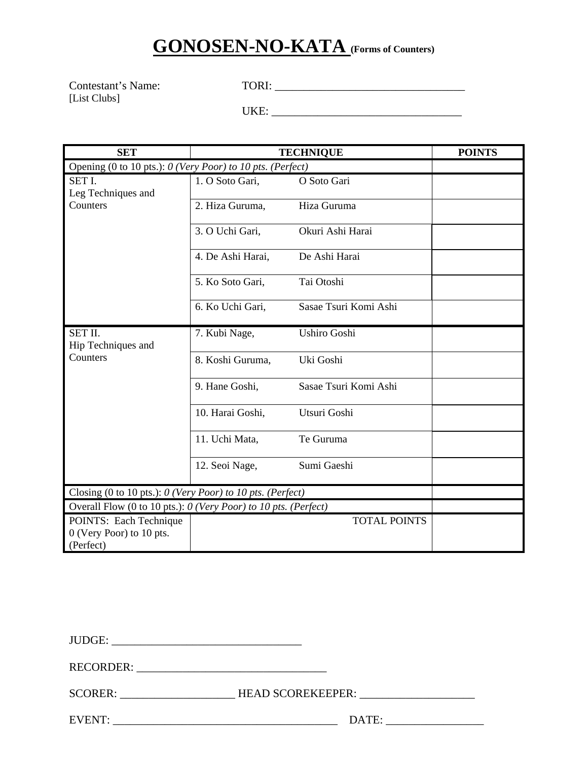## **GONOSEN-NO-KATA (Forms of Counters)**

Contestant's Name: TORI: [List Clubs]

UKE: \_\_\_\_\_\_\_\_\_\_\_\_\_\_\_\_\_\_\_\_\_\_\_\_\_\_\_\_\_\_\_\_\_

| <b>SET</b>                                                        |                   | <b>TECHNIQUE</b>      | <b>POINTS</b> |
|-------------------------------------------------------------------|-------------------|-----------------------|---------------|
| Opening (0 to 10 pts.): 0 (Very Poor) to 10 pts. (Perfect)        |                   |                       |               |
| SET I.<br>Leg Techniques and                                      | 1. O Soto Gari,   | O Soto Gari           |               |
| Counters                                                          | 2. Hiza Guruma,   | Hiza Guruma           |               |
|                                                                   | 3. O Uchi Gari,   | Okuri Ashi Harai      |               |
|                                                                   | 4. De Ashi Harai, | De Ashi Harai         |               |
|                                                                   | 5. Ko Soto Gari,  | Tai Otoshi            |               |
|                                                                   | 6. Ko Uchi Gari,  | Sasae Tsuri Komi Ashi |               |
| SET II.<br>Hip Techniques and                                     | 7. Kubi Nage,     | <b>Ushiro Goshi</b>   |               |
| Counters                                                          | 8. Koshi Guruma,  | Uki Goshi             |               |
|                                                                   | 9. Hane Goshi,    | Sasae Tsuri Komi Ashi |               |
|                                                                   | 10. Harai Goshi,  | Utsuri Goshi          |               |
|                                                                   | 11. Uchi Mata,    | Te Guruma             |               |
|                                                                   | 12. Seoi Nage,    | Sumi Gaeshi           |               |
| Closing (0 to 10 pts.): 0 (Very Poor) to 10 pts. (Perfect)        |                   |                       |               |
| Overall Flow (0 to 10 pts.): $0$ (Very Poor) to 10 pts. (Perfect) |                   |                       |               |
| POINTS: Each Technique<br>0 (Very Poor) to 10 pts.<br>(Perfect)   |                   | <b>TOTAL POINTS</b>   |               |

JUDGE: \_\_\_\_\_\_\_\_\_\_\_\_\_\_\_\_\_\_\_\_\_\_\_\_\_\_\_\_\_\_\_\_\_

RECORDER: \_\_\_\_\_\_\_\_\_\_\_\_\_\_\_\_\_\_\_\_\_\_\_\_\_\_\_\_\_\_\_\_\_

SCORER: \_\_\_\_\_\_\_\_\_\_\_\_\_\_\_\_\_\_\_\_\_\_\_\_\_HEAD SCOREKEEPER: \_\_\_\_\_\_\_\_\_\_\_\_\_\_\_\_\_\_\_\_\_\_\_\_\_\_\_\_\_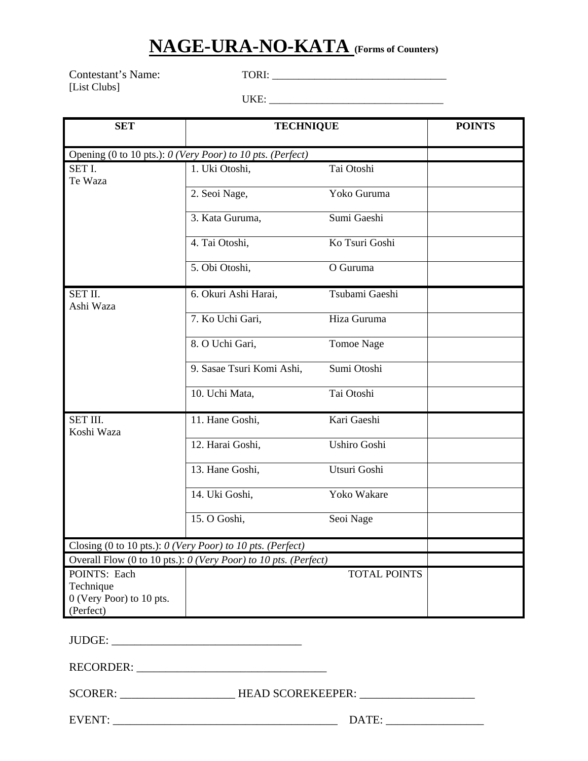#### **NAGE-URA-NO-KATA (Forms of Counters)**

Contestant's Name: TORI: \_\_\_\_\_\_\_\_\_\_\_\_\_\_\_\_\_\_\_\_\_\_\_\_\_\_\_\_\_\_\_\_\_ [List Clubs]

UKE: \_\_\_\_\_\_\_\_\_\_\_\_\_\_\_\_\_\_\_\_\_\_\_\_\_\_\_\_\_\_\_\_\_

| <b>SET</b>                                                 | <b>TECHNIQUE</b>                                                |                     | <b>POINTS</b> |  |
|------------------------------------------------------------|-----------------------------------------------------------------|---------------------|---------------|--|
| Opening (0 to 10 pts.): 0 (Very Poor) to 10 pts. (Perfect) |                                                                 |                     |               |  |
| SET I.<br>Te Waza                                          | 1. Uki Otoshi,                                                  | Tai Otoshi          |               |  |
|                                                            | 2. Seoi Nage,                                                   | Yoko Guruma         |               |  |
|                                                            | 3. Kata Guruma,                                                 | Sumi Gaeshi         |               |  |
|                                                            | 4. Tai Otoshi,                                                  | Ko Tsuri Goshi      |               |  |
|                                                            | 5. Obi Otoshi,                                                  | O Guruma            |               |  |
| SET II.<br>Ashi Waza                                       | 6. Okuri Ashi Harai,                                            | Tsubami Gaeshi      |               |  |
|                                                            | 7. Ko Uchi Gari,                                                | Hiza Guruma         |               |  |
|                                                            | 8. O Uchi Gari,                                                 | <b>Tomoe Nage</b>   |               |  |
|                                                            | 9. Sasae Tsuri Komi Ashi,                                       | Sumi Otoshi         |               |  |
|                                                            | 10. Uchi Mata,                                                  | Tai Otoshi          |               |  |
| SET III.<br>Koshi Waza                                     | 11. Hane Goshi,                                                 | Kari Gaeshi         |               |  |
|                                                            | 12. Harai Goshi,                                                | Ushiro Goshi        |               |  |
|                                                            | 13. Hane Goshi,                                                 | Utsuri Goshi        |               |  |
|                                                            | 14. Uki Goshi,                                                  | Yoko Wakare         |               |  |
|                                                            | 15. O Goshi,                                                    | Seoi Nage           |               |  |
|                                                            | Closing (0 to 10 pts.): 0 (Very Poor) to 10 pts. (Perfect)      |                     |               |  |
|                                                            | Overall Flow (0 to 10 pts.): 0 (Very Poor) to 10 pts. (Perfect) |                     |               |  |
| POINTS: Each                                               |                                                                 | <b>TOTAL POINTS</b> |               |  |
| Technique                                                  |                                                                 |                     |               |  |
| 0 (Very Poor) to 10 pts.                                   |                                                                 |                     |               |  |
| (Perfect)                                                  |                                                                 |                     |               |  |

JUDGE: \_\_\_\_\_\_\_\_\_\_\_\_\_\_\_\_\_\_\_\_\_\_\_\_\_\_\_\_\_\_\_\_\_

RECORDER: \_\_\_\_\_\_\_\_\_\_\_\_\_\_\_\_\_\_\_\_\_\_\_\_\_\_\_\_\_\_\_\_\_

SCORER: \_\_\_\_\_\_\_\_\_\_\_\_\_\_\_\_\_\_\_\_\_\_\_\_\_HEAD SCOREKEEPER: \_\_\_\_\_\_\_\_\_\_\_\_\_\_\_\_\_\_\_\_\_\_\_\_\_\_\_\_\_